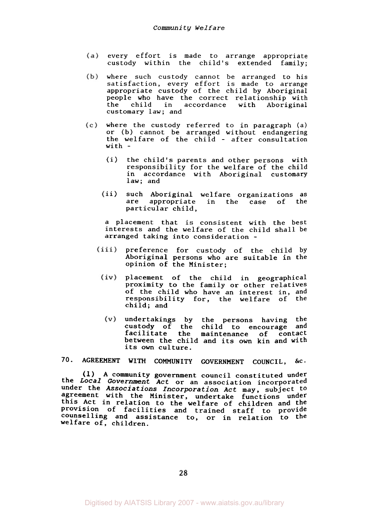- every effort is made to arrange appropriate  $(a)$ custody within the child's extended family;
- where such custody cannot be arranged to his  $(b)$ satisfaction, every effort is made to arrange appropriate custody of the child by Aboriginal people who have the correct relationship with<br>the child in accordance with Aboriginal child in accordance customary law; and
- where the custody referred to in paragraph (a) or **(b)** cannot be arranged without endangering the welfare of the child - after consultation with -
	- (i) the child's parents and other persons with responsibility for the welfare of the child in accordance with Aboriginal customary law; and
	- ii) such Aboriginal welfare organizations as are appropriate in the case of the particular child,

a placement that is consistent with the best interests and the welfare of the child shall be arranged taking into consideration -

- (iii) preference for custody of the child by Aboriginal persons who are suitable in the opinion of the Minister;
	- (iv) placement of the child in geographical proximity to the family or other relatives of the child who have an interest in, and responsibility for, the welfare of the child; and
		- (v) undertakings by the persons having the custody of the child to encourage and facilitate the maintenance of contact between the child and its own kin and with its own culture.

**70-** AGREEMENT WITH COMMUNITY **GOVERNMENT** COUNCIL, &c.

**(1)** A community government council constituted under the *Local Government Act* or an association incorporated under the *Associations Incorporation Act* may, subject to agreement with the Minister, undertake functions under this Act in relation to the welfare of children and the Provision of facilities and trained staff to provide counselling and assistance to, or in relation to the welfare of, children.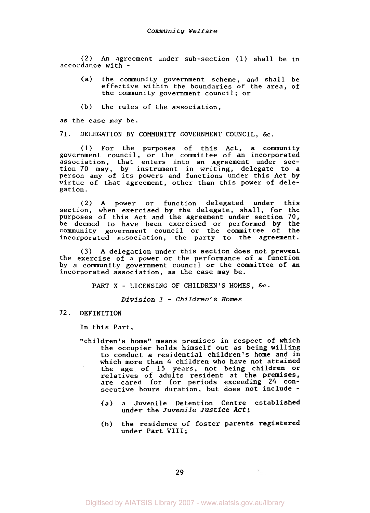(2) **An** agreement under sub-section (1) shall be in accordance with -

- (a) the community government scheme, and shall be effective within the boundaries of the area, of the community government council; or
- (b) the rules of the association,

**as** the case may be.

71. DELEGATION BY COMMUNITY GOVERNMENT COUNCIL, &c.

(1) For the purposes of this Act, a community government council, or the committee of an incorporated association, that enters into an agreement under section 70 may, by instrument in writing, delegate to a person any of its powers and functions under this Act by virtue of that agreement, other than this power of delegation.

(2) A power or function delegated under this section, when exercised by the delegate, shall, for the purposes of this Act and the agreement under section **70,**  be deemed to have been exercised or performed by the<br>community government council or the committee of the community government council or the committee of incorporated association, the party to the agreement.

**(3) A** delegation under this section does not prevent the exercise of a power or the performance of a function by a community government council or the committee of an incorporated association, as the case may be.

PART X - LICENSING OF CHILDREN'S HOMES, &C.

*Division* **<sup>2</sup>**- *Children's Homes* 

72. DEFINITION

In this Part,

- "children's home'' means premises in respect of which the occupier holds himself out as being willing to conduct a residential children's home and in which more than *4* children who have not attained the age of 15 years, not being children or relatives of adults resident at the premises, are cared for for periods exceeding *24* consecutive hours duration, but does not include -
	- (a) a Juvenile Detention Centre established under the *Juvenile Justice Act;*
	- (b) the residence of foster parents registered under Part VIII;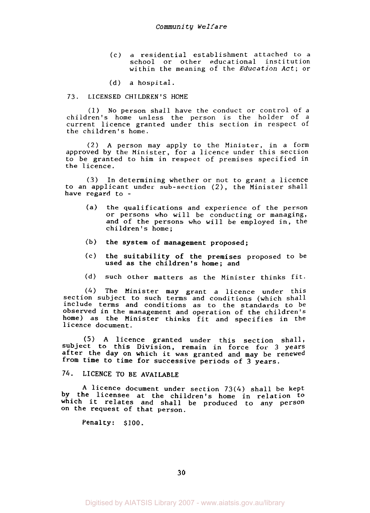- (c) a residential establishment attached to a school or other educational institution within the meaning of the *Education Act;* or
- (d) a hospital.

# **73.** LICENSED CHILDREN'S HOME

(1) No person shall have the conduct or control of a children's home unless the person is the holder of a current licence granted under this section in respect of the children's home.

(2) **A** person may apply to the Minister, in a form approved by the Minister, for a licence under this section to be granted to him in respect of premises specified in the licence.

**(3)** In determining whether or not to grant a licence to an applicant under sub-section *(2),* the Minister shall have regard to -

- (a) the qualifications and experience of the person or persons who will be conducting or managing, and of the persons who will be employed in, the children's home;
- (b) the system of management proposed;
- used as the children's home; and (C) the suitability of the premises proposed to be
- (d) such other matters as the Minister thinks fit.

*(4)* The Minister may grant a licence under this section subject to such terms and conditions (which shall include terms and conditions as to the standards to be observed in the management and operation of the children's home) as the Minister thinks fit and specifies in the licence document.

(5) **A** licence granted under this section shall, subject to this Division, remain in force for **3** years after the day on which it was granted and may be renewed from time to time for successive periods of **3** years.

# 74. LICENCE TO BE AVAILABLE

A licence document under section *73(4)* shall be kept by the licensee at the children's home in relation to which it relates and shall be produced to any person on the request of that person.

Penalty: \$100.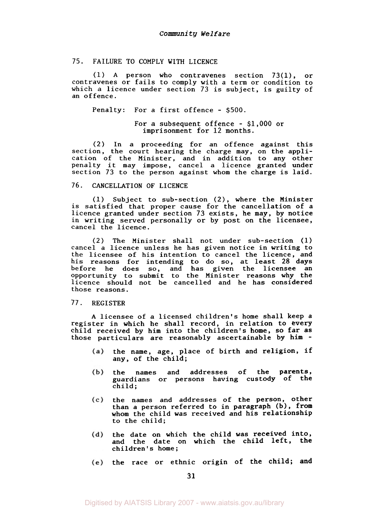## 75. FAILURE TO COMPLY WITH LICENCE

(1) A person who contravenes section 73(1), or contravenes or fails to comply with a term or condition to which a licence under section 73 is subject, is guilty of an offence.

Penalty: For a first offence - *\$500.* 

For a subsequent offence - \$1,000 or imprisonment for 12 months.

(2) In a proceeding for an offence against this section, the court hearing the charge may, on the application of the Minister, and in addition to any other penalty it may impose, cancel a licence granted under section 73 to the person against whom the charge is laid.

#### 76. CANCELLATION OF LICENCE

(1) Subject to sub-section (2), where the Minister is satisfied that proper cause for the cancellation of a licence granted under section **73** exists, he may, by notice in writing served personally or by post on the licensee, cancel the licence.

(2) The Minister shall not under sub-section (1) cancel a licence unless he has given notice in writing to the licensee of his intention to cancel the licence, and his reasons for intending to do so, at least **28** days before he does so, and has given the licensee an opportunity to submit to the Minister reasons why the licence should not be cancelled and he has considered those reasons.

#### 77. REGISTER

**A** licensee of a licensed children's home shall keep a register in which he shall record, in relation to every child received by him into the children's home, so far as those particulars are reasonably ascertainable by him -

- the name, age, place of birth and religion, if  $(a)$ any, of the child;
- the names and addresses of the parents,  $(b)$ guardians or persons having custody of the child;
- $(c)$ the names and addresses of the person, other than a person referred to in paragraph (b), from whom the child was received and his relationship to the child;
- the date on which the child was received into, (d) and the date on which the child left, the children's home;
- the race or ethnic origin of the child; and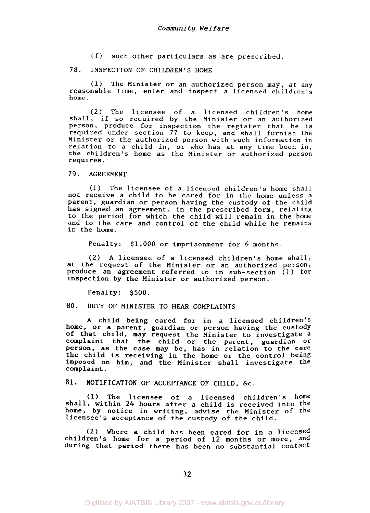(f) such other particulars as are prescribed.

# *78.* INSPECTION OF CHILDREN'S HOME

(1) The Minister or an authorized person may, at any reasonable time, enter and inspect a licensed children's home.

(2) The licensee of a licensed children's home shall, if *so* required by the Minister or an authorized person, produce for inspection the register that he is required under section 77 to keep, and shall furnish the Minister or the authorized person with such information in relation to a child in, or who has at any time been in, the children's home as the Minister or authorized person requires.

79. AGREEMENT

(1) The licensee of a licensed children's home shall not receive a child to be cared for in the home unless a parent, guardian or person having the custody of the child has signed an agreement, in the prescribed form, relating to the period for which the child will remain in the home and to the care and control of the child while he remains in the home.

Penalty: \$1,000 or imprisonment for *6* months.

*(2)* A licensee of a licensed children's home shall, at the request of the Minister or an authorized person, produce an agreement referred to in sub-section (1) for inspection by the Minister or authorized person.

Penalty: \$500.

80. DUTY OF MINISTER TO HEAR COMPLAINTS

A child being cared for in a licensed children's home, or a parent, guardian or person having the custody of that child, may request the Minister to investigate a complaint that the child or the parent, guardian or Person, as the case may be, has in relation to the care the child is receiving in the home or the control being imposed on him, and the Minister shall investigate the complaint.

81. NOTIFICATION OF ACCEPTANCE OF CHILD, &c.

(1) The licensee of a licensed children's home shall, within 24 hours after a child is received into the home, by notice in writing, advise the Minister of the licensee's acceptance of the custody of the child.

(2) Where a child has been cared for in a licensed children's home for a period of 12 months or more, and during that period there has been no substantial contact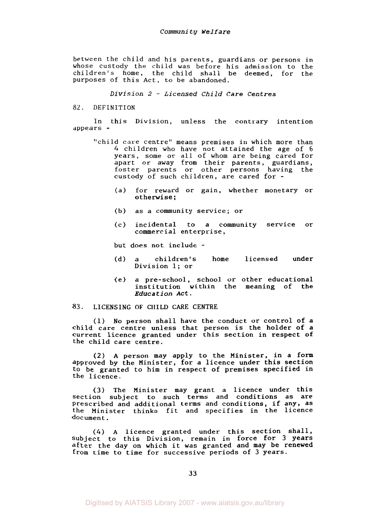between the child and his parents, guardians or persons in whose custody the child was before his admission to the children's home, the child shall be deemed, for the purposes of this Act, to be abandoned.

*Division 2* - *Licensed Child Care Centres* 

## *82.* **DEFINITION**

In this Division, unless the contrary intention appears -

- "child care centre" means premises in which more than *4* children who have not attained the age of *6*  years, some or all of whom are being cared for apart or away from their parents, guardians, foster parents or other persons having the custody of such children, are cared for -
	- (a) for reward or gain, whether monetary or otherwise;
	- (b) as a community service; or
	- (c) incidental to a community service **or**  commercial enterprise,

but does not include -

- (d) a children's home licensed under Division 1; or
- (e) a pre-school, school or other educational institution within the meaning of the Education Act.

#### **83. LICENSING OF CHILD CARE CENTRE**

(1) **No** person shall have the conduct or control of a child care centre unless that person is the holder of a current licence granted under this section in respect of the child care centre.

*(2)* **A** person may apply to the Minister, in a form approved by the Minister, for a licence under this section to be granted to him in respect of premises specified in the licence.

**(3)** The Minister may grant a licence under this section subject to such terms and conditions as are Prescribed and additional terms and conditions, if any, as the Minister thinks fit and specifies in the licence document.

*(4)* **A** licence granted under this section shall, subject to this Division, remain in force for **3** years after the day on which it was granted and may be renewed from time to time for successive periods of **3** years.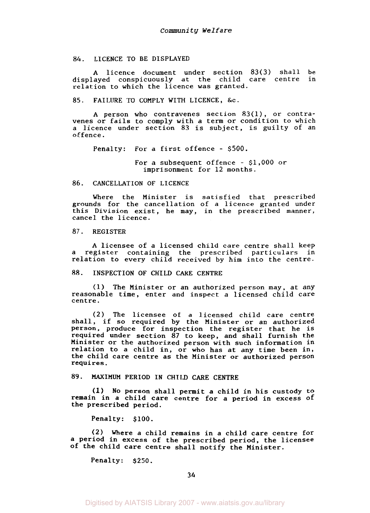### *84.* LICENCE TO BE DISPLAYED

A licence document under section *83(3)* shall be displayed conspicuously at the child care centre in relation to which the licence was granted.

## **85.** FAILURE TO COMPLY WITH LICENCE, &c.

A person who contravenes section **83(1),** or contravenes or fails to comply with a term or condition to which a licence under section *83* is subject, is guilty of an offence.

Penalty: For a first offence - \$500.

For a subsequent offence - \$1,000 or imprisonment for 12 months.

# *86.* CANCELLATION OF LICENCE

Where the Minister is satisfied that prescribed grounds for the cancellation of a licence granted under this Division exist, he may, in the prescribed manner, cancel the licence.

# **87.** REGISTER

A licensee of a licensed child care centre shall keep a register containing the prescribed particulars in relation to every child received by him into the centre.

## *88.* INSPECTION OF CHILD CARE CENTRE

**(1)** The Minister or an authorized person may, at any reasonable time, enter and inspect a licensed child care centre.

**(2)** The licensee of a licensed child care centre shall, if so required by the Minister or an authorized person, produce for inspection the register that he is required under section **87** to keep, and shall furnish the Minister or the authorized person with such information in relation to a child in, or who has at any time been in, the child care centre as the Minister or authorized person requires.

# **89.** MAXIMUM PERIOD IN CHILD CARE CENTRE

**(1)** No person shall permit a child in his custody to remain in a child care centre for a period in excess of the prescribed period.

Penalty: \$100.

*(2)* Where a child remains in a child care centre for a period in excess of the prescribed period, the licensee of the child care centre shall notify the Minister.

Penalty: \$250.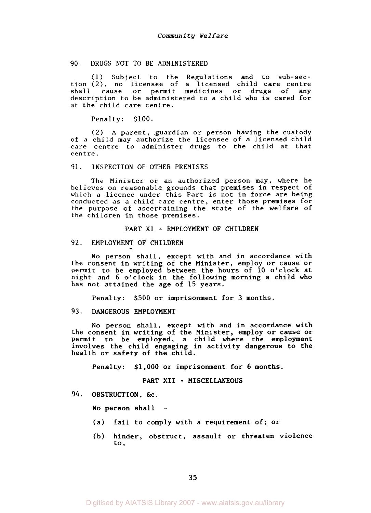# 90. DRUGS NOT TO BE ADMINISTERED

(1) Subject to the Regulations and to sub-section (2), no licensee of a licensed child care centre shall cause or permit medicines or drugs of any description to be administered to a child who is cared for at the child care centre.

Penalty: \$100.

(2) **A** parent, guardian or person having the custody of a child may authorize the licensee of a licensed child care centre to administer drugs to the child at that centre.

#### 91. INSPECTION OF OTHER PREMISES

The Minister or an authorized person may, where he believes on reasonable grounds that premises in respect of which a licence under this Part is not in force are being conducted as a child care centre, enter those premises for the purpose of ascertaining the state of the welfare of the children in those premises.

#### PART XI - EMPLOYMENT OF CHILDREN

# 92. EMPLOYMENT OF CHILDREN

No person shall, except with and in accordance with the consent in writing of the Minister, employ or cause or permit to be employed between the hours of 10 o'clock at night and *6* o'clock in the following morning a child who has not attained the age of 15 years.

Penalty: \$500 or imprisonment for **3** months.

#### **93.** DANGEROUS EMPLOYMENT

No person shall, except with and in accordance with the consent in writing of the Minister, employ or cause or permit to be employed, a child where the employment involves the child engaging in activity dangerous to the health or safety of the child.

Penalty: \$1,000 or imprisonment for *6* months.

## PART **XII** - MISCELLANEOUS

*94.* OBSTRUCTION, &c.

No person shall -

- (a) fail to comply with a requirement of; or
- (b) hinder, obstruct, assault or threaten violence to,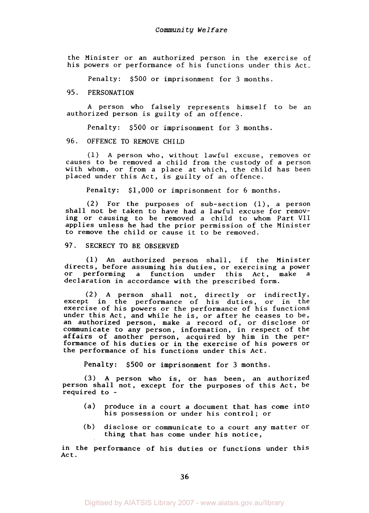the Minister or an authorized person in the exercise of his powers or performance of his functions under this Act.

Penalty: \$500 or imprisonment for **3** months.

# 95. PERSONATION

A person who falsely represents himself to be an authorized person is guilty of an offence.

Penalty: \$500 or imprisonment for *3* months.

# 96. OFFENCE TO REMOVE CHILD

(1) A person who, without lawful excuse, removes or causes to be removed a child from the custody of a person with whom, or from a place at which, the child has been placed under this Act, is guilty of an offence.

Penalty: \$1,000 or imprisonment for 6 months.

**(2)** For the purposes of sub-section (l), a person shall not be taken to have had a lawful excuse for removing or causing to be removed a child to whom Part VII applies unless he had the prior permission of the Minister to remove the child or cause it to be removed.

## **97.** SECRECY TO BE OBSERVED

(1) An authorized person shall, if the Minister directs, before assuming his duties, or exercising a power or performing a function under this Act, make a declaration in accordance with the prescribed form.

(2) A person shall not, directly or indirectly, except in the performance of his duties, or in the exercise of his powers or the performance of his functions under this Act, and while he is, or after he ceases to be, an authorized person, make a record of, or disclose or communicate to any person, information, in respect of the affairs of another person, acquired by him in the performance of his duties or in the exercise of his powers or the performance of his functions under this Act.

Penalty: \$500 or imprisonment for *3* months.

*(3)* **A** person who is, or has been, an authorized person shall not, except for the purposes of this Act, be required to -

- (a) produce in a court a document that has come into his possession or under his control; or
- (b) disclose or communicate to a court any matter or thing that has come under his notice,

in the performance of his duties or functions under this Act.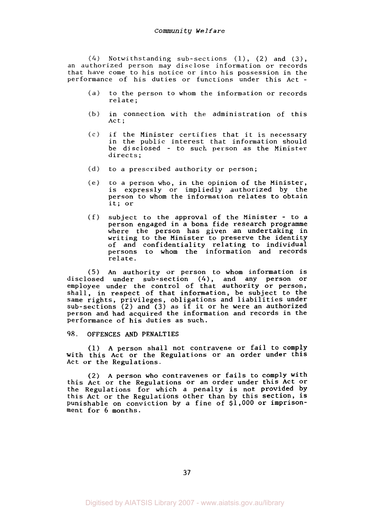*(4)* Notwithstanding sub-sections **(l),** *(2)* and *(3),*  an authorized person may disclose information or records that have come to his notice or into his possession in the performance of his duties or functions under this Act -

- to the person to whom the information or records relate ;
- $(b)$ in connection with the administration of this Act:
- $(c)$ if the Minister certifies that it is necessary in the public interest that information should be disclosed - to such person as the Minister directs ;
- $(d)$  to a prescribed authority or person;
- $(e)$ to a person who, in the opinion of the Minister, is expressly or impliedly authorized by the person to whom the information relates to obtain it; or
- subject to the approval of the Minister to a  $(f)$ person engaged in a bona fide research programme where the person has given an undertaking in writing to the Minister to preserve the identity of and confidentiality relating to individual persons to whom the information and records relate.

(5) An authority or person to whom information is disclosed under sub-section *(4),* and any person or employee under the control of that authority or person, shall, in respect of that information, be subject to the same rights, privileges, obligations and liabilities under sub-sections (2) and **(3)** as if it or he were an authorized person and had acquired the information and records in the performance of his duties as such.

**98. OFFENCES** AND PENALTIES

**(1) A** person shall not contravene or fail to comply with this Act or the Regulations or an order under this Act or the Regulations.

(2) **A** person who contravenes or fails to comply with this Act or the Regulations or an order under this Act or the Regulations for which a penalty is not provided by this Act or the Regulations other than by this section, is punishable on conviction by a fine of \$1,000 or imprisonment for *6* months.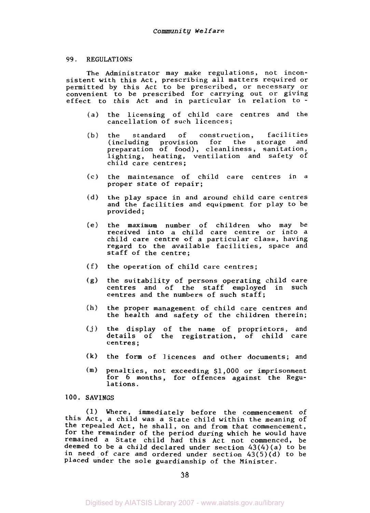#### **99. REGULATIONS**

The Administrator may make regulations, not inconsistent with this Act, prescribing all matters required or permitted by this Act to be prescribed, or necessary or convenient to be prescribed for carrying out or giving effect to this Act and in particular in relation to -

- the licensing of child care centres and the  $(a)$ cancellation of such licences;
- $(b)$ the standard of construction, facilities (including provision for the storage and preparation of food), cleanliness, sanitation, lighting, heating, ventilation and safety of child care centres;
- the maintenance of child care centres in a proper state of repair;  $(c)$
- the play space in and around child care centres  $(d)$ and the facilities and equipment for play to be provided ;
- the maximum number of children who may be received into a child care centre or into a child care centre of a particular class, having regard to the available facilities, space and staff of the centre;
- $(f)$  the operation of child care centres;
- $(g)$ the suitability of persons operating child care centres and of the staff employed in such centres and the numbers of such staff;
- $(h)$ the proper management of child care centres and the health and safety of the children therein;
- $(j)$ the display of the name of proprietors, and details of the registration, of child care centres ;
- the form of licences and other documents; and
- $(m)$ Penalties, not exceeding \$1,000 or imprisonment for *6* months, for offences against the Regulations.

## 100. SAVINGS

(1) Where, immediately before the commencement of this Act, a child was a State child within the meaning of the repealed Act, he shall, on and from that commencement, for the remainder of the period during which he would have remained a State child had this Act not commenced, be deemed to be a child declared under section 43(4)(a) to be in need of care and ordered under section  $43(5)(d)$  to be placed under the sole guardianship of the Minister.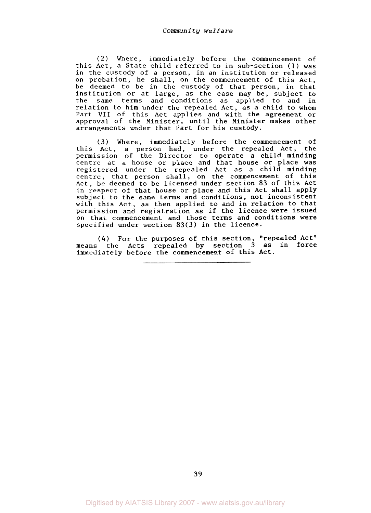(2) Where, immediately before the commencement of this Act, a State child referred to in sub-section (1) was in the custody of a person, in an institution or released on probation, he shall, on the commencement of this Act, be deemed to be in the custody of that person, in that institution or at large, as the case may be, subject to the same terms and conditions as applied to and in relation to him under the repealed Act, as a child to whom Part **VII** of this Act applies and with the agreement or approval of the Minister, until the Minister makes other arrangements under that Part for his custody.

*(3)* Where, immediately before the commencement of this Act, a person had, under the repealed Act, the permission of the Director to operate a child minding centre at a house or place and that house or place was registered under the repealed Act as a child minding centre, that person shall, on the commencement of this Act, be deemed to be licensed under section **83** of this Act in respect of that house or place and this Act shall apply subject to the same terms and conditions, not inconsistent with this Act, as then applied to and in relation to that permission and registration as if the licence were issued on that commencement and those terms and conditions were specified under section **83(3)** in the licence.

*(4)* For the purposes of this section, "repealed Act" means the Acts repealed by section **3** as in force immediately before the commencement of this Act.

**39**